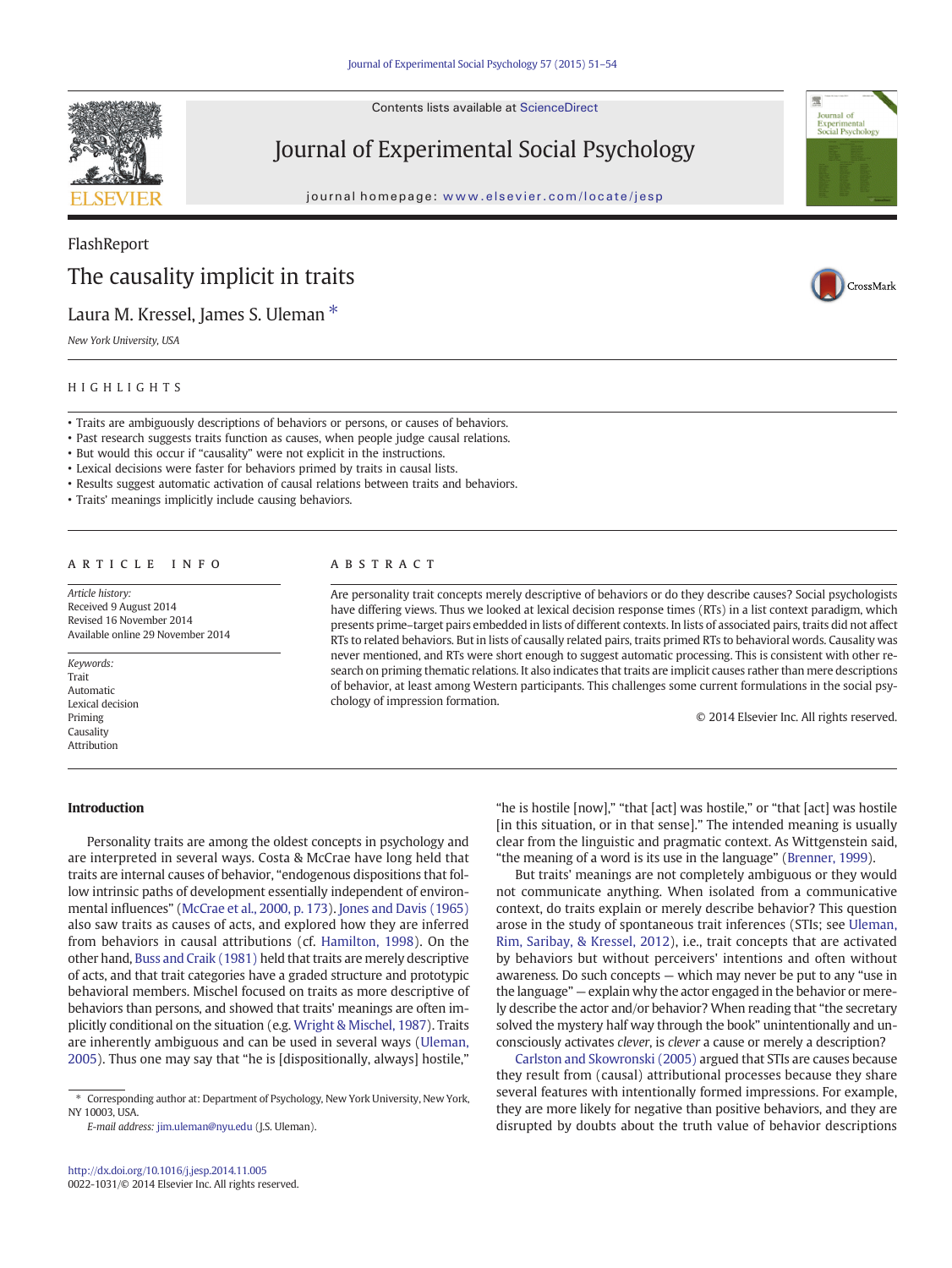Contents lists available at ScienceDirect



# Journal of Experimental Social Psychology

journal homepage: <www.elsevier.com/locate/jesp>

# Experimental<br>Social Psycholo

CrossMark

## FlashReport The causality implicit in traits

## Laura M. Kressel, James S. Uleman  $*$

New York University, USA

## HIGHLIGHTS

- Traits are ambiguously descriptions of behaviors or persons, or causes of behaviors.
- Past research suggests traits function as causes, when people judge causal relations.
- But would this occur if "causality" were not explicit in the instructions.
- Lexical decisions were faster for behaviors primed by traits in causal lists.
- Results suggest automatic activation of causal relations between traits and behaviors.
- Traits' meanings implicitly include causing behaviors.

## article info abstract

Article history: Received 9 August 2014 Revised 16 November 2014 Available online 29 November 2014

Keywords: Trait Automatic Lexical decision Priming Causality Attribution

Are personality trait concepts merely descriptive of behaviors or do they describe causes? Social psychologists have differing views. Thus we looked at lexical decision response times (RTs) in a list context paradigm, which presents prime–target pairs embedded in lists of different contexts. In lists of associated pairs, traits did not affect RTs to related behaviors. But in lists of causally related pairs, traits primed RTs to behavioral words. Causality was never mentioned, and RTs were short enough to suggest automatic processing. This is consistent with other research on priming thematic relations. It also indicates that traits are implicit causes rather than mere descriptions of behavior, at least among Western participants. This challenges some current formulations in the social psychology of impression formation.

© 2014 Elsevier Inc. All rights reserved.

## Introduction

Personality traits are among the oldest concepts in psychology and are interpreted in several ways. Costa & McCrae have long held that traits are internal causes of behavior, "endogenous dispositions that follow intrinsic paths of development essentially independent of environmental influences" ([McCrae et al., 2000, p. 173](#page-3-0)). [Jones and Davis \(1965\)](#page-3-0) also saw traits as causes of acts, and explored how they are inferred from behaviors in causal attributions (cf. [Hamilton, 1998](#page-2-0)). On the other hand, [Buss and Craik \(1981\)](#page-2-0) held that traits are merely descriptive of acts, and that trait categories have a graded structure and prototypic behavioral members. Mischel focused on traits as more descriptive of behaviors than persons, and showed that traits' meanings are often implicitly conditional on the situation (e.g. [Wright & Mischel, 1987\)](#page-3-0). Traits are inherently ambiguous and can be used in several ways [\(Uleman,](#page-3-0) [2005\)](#page-3-0). Thus one may say that "he is [dispositionally, always] hostile,"

E-mail address: [jim.uleman@nyu.edu](mailto:jim.uleman@nyu.edu) (J.S. Uleman).

"he is hostile [now]," "that [act] was hostile," or "that [act] was hostile [in this situation, or in that sense]." The intended meaning is usually clear from the linguistic and pragmatic context. As Wittgenstein said, "the meaning of a word is its use in the language" ([Brenner, 1999\)](#page-2-0).

But traits' meanings are not completely ambiguous or they would not communicate anything. When isolated from a communicative context, do traits explain or merely describe behavior? This question arose in the study of spontaneous trait inferences (STIs; see [Uleman,](#page-3-0) [Rim, Saribay, & Kressel, 2012](#page-3-0)), i.e., trait concepts that are activated by behaviors but without perceivers' intentions and often without awareness. Do such concepts — which may never be put to any "use in the language" — explain why the actor engaged in the behavior or merely describe the actor and/or behavior? When reading that "the secretary solved the mystery half way through the book" unintentionally and unconsciously activates clever, is clever a cause or merely a description?

[Carlston and Skowronski \(2005\)](#page-2-0) argued that STIs are causes because they result from (causal) attributional processes because they share several features with intentionally formed impressions. For example, they are more likely for negative than positive behaviors, and they are disrupted by doubts about the truth value of behavior descriptions

<sup>⁎</sup> Corresponding author at: Department of Psychology, New York University, New York, NY 10003, USA.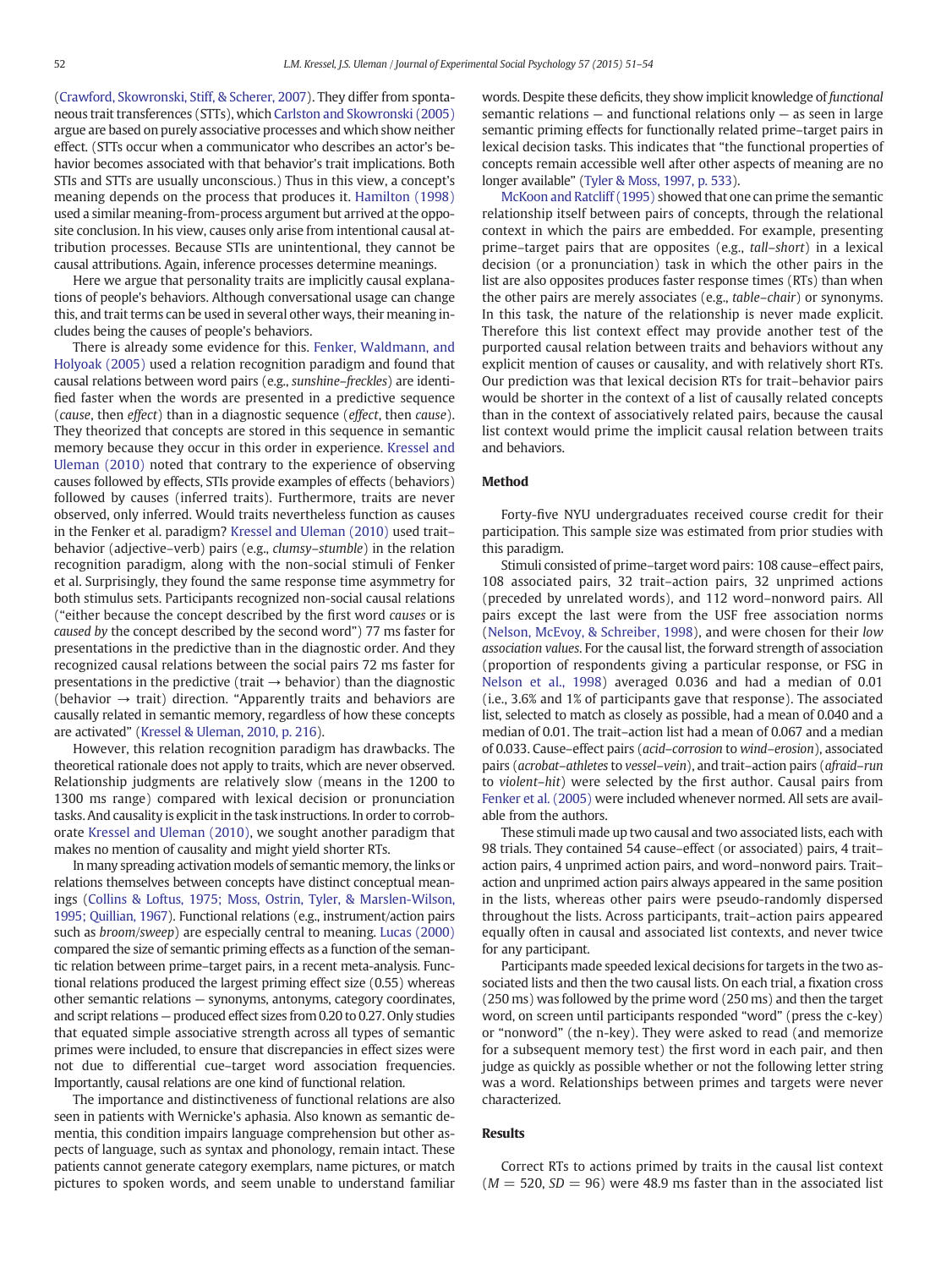[\(Crawford, Skowronski, Stiff, & Scherer, 2007\)](#page-2-0). They differ from spontaneous trait transferences (STTs), which [Carlston and Skowronski \(2005\)](#page-2-0) argue are based on purely associative processes and which show neither effect. (STTs occur when a communicator who describes an actor's behavior becomes associated with that behavior's trait implications. Both STIs and STTs are usually unconscious.) Thus in this view, a concept's meaning depends on the process that produces it. [Hamilton \(1998\)](#page-2-0) used a similar meaning-from-process argument but arrived at the opposite conclusion. In his view, causes only arise from intentional causal attribution processes. Because STIs are unintentional, they cannot be causal attributions. Again, inference processes determine meanings.

Here we argue that personality traits are implicitly causal explanations of people's behaviors. Although conversational usage can change this, and trait terms can be used in several other ways, their meaning includes being the causes of people's behaviors.

There is already some evidence for this. [Fenker, Waldmann, and](#page-2-0) [Holyoak \(2005\)](#page-2-0) used a relation recognition paradigm and found that causal relations between word pairs (e.g., sunshine–freckles) are identified faster when the words are presented in a predictive sequence (cause, then effect) than in a diagnostic sequence (effect, then cause). They theorized that concepts are stored in this sequence in semantic memory because they occur in this order in experience. [Kressel and](#page-3-0) [Uleman \(2010\)](#page-3-0) noted that contrary to the experience of observing causes followed by effects, STIs provide examples of effects (behaviors) followed by causes (inferred traits). Furthermore, traits are never observed, only inferred. Would traits nevertheless function as causes in the Fenker et al. paradigm? [Kressel and Uleman \(2010\)](#page-3-0) used trait– behavior (adjective–verb) pairs (e.g., clumsy–stumble) in the relation recognition paradigm, along with the non-social stimuli of Fenker et al. Surprisingly, they found the same response time asymmetry for both stimulus sets. Participants recognized non-social causal relations ("either because the concept described by the first word causes or is caused by the concept described by the second word") 77 ms faster for presentations in the predictive than in the diagnostic order. And they recognized causal relations between the social pairs 72 ms faster for presentations in the predictive (trait  $\rightarrow$  behavior) than the diagnostic (behavior  $\rightarrow$  trait) direction. "Apparently traits and behaviors are causally related in semantic memory, regardless of how these concepts are activated" [\(Kressel & Uleman, 2010, p. 216](#page-3-0)).

However, this relation recognition paradigm has drawbacks. The theoretical rationale does not apply to traits, which are never observed. Relationship judgments are relatively slow (means in the 1200 to 1300 ms range) compared with lexical decision or pronunciation tasks. And causality is explicit in the task instructions. In order to corroborate [Kressel and Uleman \(2010\)](#page-3-0), we sought another paradigm that makes no mention of causality and might yield shorter RTs.

In many spreading activation models of semantic memory, the links or relations themselves between concepts have distinct conceptual meanings [\(Collins & Loftus, 1975; Moss, Ostrin, Tyler, & Marslen-Wilson,](#page-2-0) [1995; Quillian, 1967\)](#page-2-0). Functional relations (e.g., instrument/action pairs such as *broom/sweep*) are especially central to meaning. [Lucas \(2000\)](#page-3-0) compared the size of semantic priming effects as a function of the semantic relation between prime–target pairs, in a recent meta-analysis. Functional relations produced the largest priming effect size (0.55) whereas other semantic relations — synonyms, antonyms, category coordinates, and script relations — produced effect sizes from 0.20 to 0.27. Only studies that equated simple associative strength across all types of semantic primes were included, to ensure that discrepancies in effect sizes were not due to differential cue–target word association frequencies. Importantly, causal relations are one kind of functional relation.

The importance and distinctiveness of functional relations are also seen in patients with Wernicke's aphasia. Also known as semantic dementia, this condition impairs language comprehension but other aspects of language, such as syntax and phonology, remain intact. These patients cannot generate category exemplars, name pictures, or match pictures to spoken words, and seem unable to understand familiar words. Despite these deficits, they show implicit knowledge of functional semantic relations — and functional relations only — as seen in large semantic priming effects for functionally related prime–target pairs in lexical decision tasks. This indicates that "the functional properties of concepts remain accessible well after other aspects of meaning are no longer available" ([Tyler & Moss, 1997, p. 533](#page-3-0)).

[McKoon and Ratcliff \(1995\)](#page-3-0) showed that one can prime the semantic relationship itself between pairs of concepts, through the relational context in which the pairs are embedded. For example, presenting prime–target pairs that are opposites (e.g., tall–short) in a lexical decision (or a pronunciation) task in which the other pairs in the list are also opposites produces faster response times (RTs) than when the other pairs are merely associates (e.g., table–chair) or synonyms. In this task, the nature of the relationship is never made explicit. Therefore this list context effect may provide another test of the purported causal relation between traits and behaviors without any explicit mention of causes or causality, and with relatively short RTs. Our prediction was that lexical decision RTs for trait–behavior pairs would be shorter in the context of a list of causally related concepts than in the context of associatively related pairs, because the causal list context would prime the implicit causal relation between traits and behaviors.

## Method

Forty-five NYU undergraduates received course credit for their participation. This sample size was estimated from prior studies with this paradigm.

Stimuli consisted of prime–target word pairs: 108 cause–effect pairs, 108 associated pairs, 32 trait–action pairs, 32 unprimed actions (preceded by unrelated words), and 112 word–nonword pairs. All pairs except the last were from the USF free association norms [\(Nelson, McEvoy, & Schreiber, 1998\)](#page-3-0), and were chosen for their low association values. For the causal list, the forward strength of association (proportion of respondents giving a particular response, or FSG in [Nelson et al., 1998\)](#page-3-0) averaged 0.036 and had a median of 0.01 (i.e., 3.6% and 1% of participants gave that response). The associated list, selected to match as closely as possible, had a mean of 0.040 and a median of 0.01. The trait–action list had a mean of 0.067 and a median of 0.033. Cause–effect pairs (acid–corrosion to wind–erosion), associated pairs (acrobat–athletes to vessel–vein), and trait–action pairs (afraid–run to violent–hit) were selected by the first author. Causal pairs from [Fenker et al. \(2005\)](#page-2-0) were included whenever normed. All sets are available from the authors.

These stimuli made up two causal and two associated lists, each with 98 trials. They contained 54 cause–effect (or associated) pairs, 4 trait– action pairs, 4 unprimed action pairs, and word–nonword pairs. Trait– action and unprimed action pairs always appeared in the same position in the lists, whereas other pairs were pseudo-randomly dispersed throughout the lists. Across participants, trait–action pairs appeared equally often in causal and associated list contexts, and never twice for any participant.

Participants made speeded lexical decisions for targets in the two associated lists and then the two causal lists. On each trial, a fixation cross (250 ms) was followed by the prime word (250 ms) and then the target word, on screen until participants responded "word" (press the c-key) or "nonword" (the n-key). They were asked to read (and memorize for a subsequent memory test) the first word in each pair, and then judge as quickly as possible whether or not the following letter string was a word. Relationships between primes and targets were never characterized.

## Results

Correct RTs to actions primed by traits in the causal list context  $(M = 520, SD = 96)$  were 48.9 ms faster than in the associated list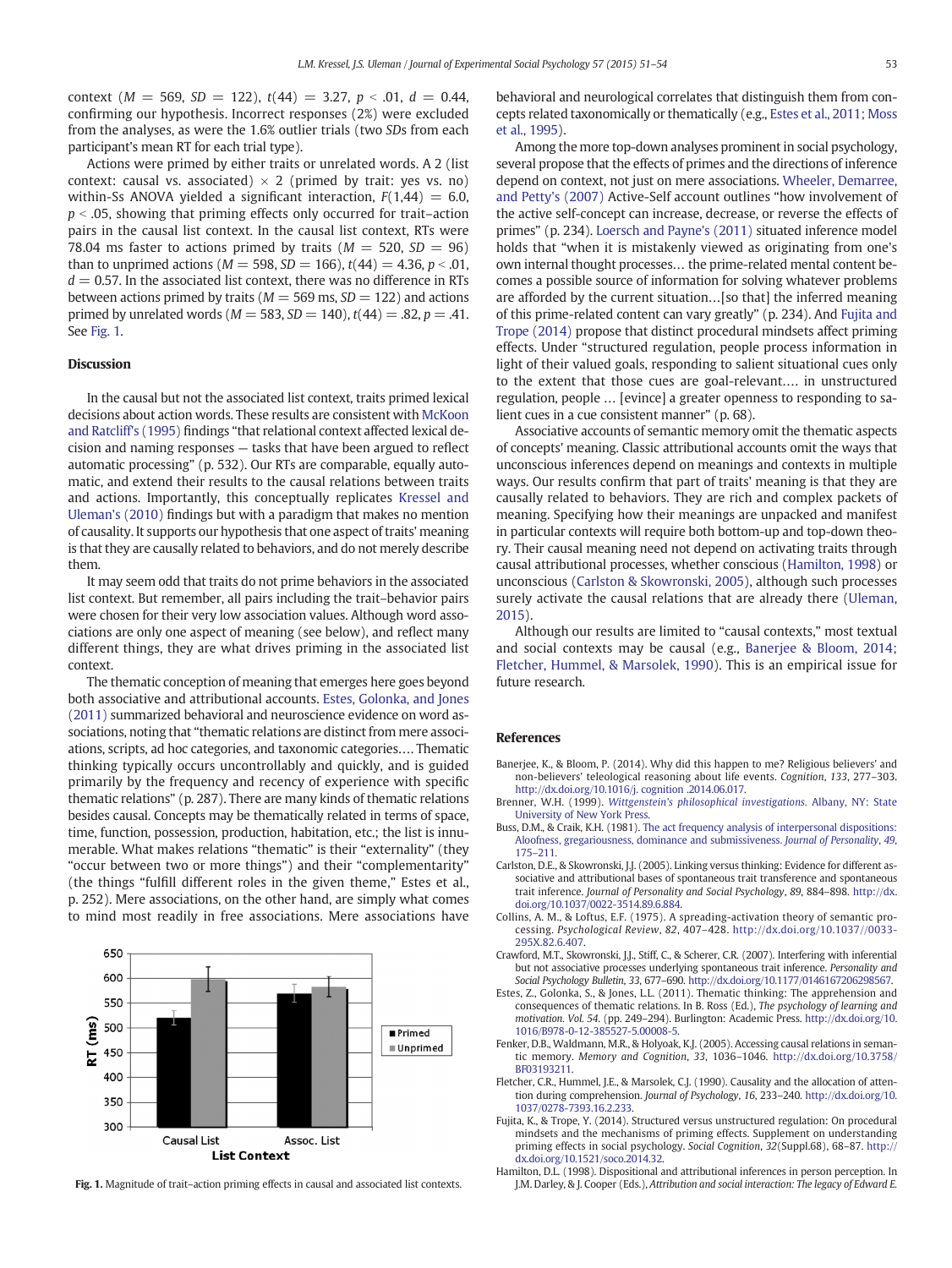<span id="page-2-0"></span>context ( $M = 569$ ,  $SD = 122$ ),  $t(44) = 3.27$ ,  $p < .01$ ,  $d = 0.44$ , confirming our hypothesis. Incorrect responses (2%) were excluded from the analyses, as were the 1.6% outlier trials (two SDs from each participant's mean RT for each trial type).

Actions were primed by either traits or unrelated words. A 2 (list context: causal vs. associated)  $\times$  2 (primed by trait: yes vs. no) within-Ss ANOVA yielded a significant interaction,  $F(1,44) = 6.0$ ,  $p <$  .05, showing that priming effects only occurred for trait–action pairs in the causal list context. In the causal list context, RTs were 78.04 ms faster to actions primed by traits ( $M = 520$ ,  $SD = 96$ ) than to unprimed actions ( $M = 598$ ,  $SD = 166$ ),  $t(44) = 4.36$ ,  $p < .01$ ,  $d = 0.57$ . In the associated list context, there was no difference in RTs between actions primed by traits ( $M = 569$  ms,  $SD = 122$ ) and actions primed by unrelated words ( $M = 583$ ,  $SD = 140$ ),  $t(44) = .82$ ,  $p = .41$ . See Fig. 1.

## Discussion

In the causal but not the associated list context, traits primed lexical decisions about action words. These results are consistent with [McKoon](#page-3-0) [and Ratcliff's \(1995\)](#page-3-0) findings "that relational context affected lexical decision and naming responses — tasks that have been argued to reflect automatic processing" (p. 532). Our RTs are comparable, equally automatic, and extend their results to the causal relations between traits and actions. Importantly, this conceptually replicates [Kressel and](#page-3-0) [Uleman's \(2010\)](#page-3-0) findings but with a paradigm that makes no mention of causality. It supports our hypothesis that one aspect of traits' meaning is that they are causally related to behaviors, and do not merely describe them.

It may seem odd that traits do not prime behaviors in the associated list context. But remember, all pairs including the trait–behavior pairs were chosen for their very low association values. Although word associations are only one aspect of meaning (see below), and reflect many different things, they are what drives priming in the associated list context.

The thematic conception of meaning that emerges here goes beyond both associative and attributional accounts. Estes, Golonka, and Jones (2011) summarized behavioral and neuroscience evidence on word associations, noting that "thematic relations are distinct from mere associations, scripts, ad hoc categories, and taxonomic categories…. Thematic thinking typically occurs uncontrollably and quickly, and is guided primarily by the frequency and recency of experience with specific thematic relations" (p. 287). There are many kinds of thematic relations besides causal. Concepts may be thematically related in terms of space, time, function, possession, production, habitation, etc.; the list is innumerable. What makes relations "thematic" is their "externality" (they "occur between two or more things") and their "complementarity" (the things "fulfill different roles in the given theme," Estes et al., p. 252). Mere associations, on the other hand, are simply what comes to mind most readily in free associations. Mere associations have



behavioral and neurological correlates that distinguish them from concepts related taxonomically or thematically (e.g., Estes et al., 2011; Moss et al., 1995).

Among the more top-down analyses prominent in social psychology, several propose that the effects of primes and the directions of inference depend on context, not just on mere associations. [Wheeler, Demarree,](#page-3-0) [and Petty's \(2007\)](#page-3-0) Active-Self account outlines "how involvement of the active self-concept can increase, decrease, or reverse the effects of primes" (p. 234). [Loersch and Payne's \(2011\)](#page-3-0) situated inference model holds that "when it is mistakenly viewed as originating from one's own internal thought processes… the prime-related mental content becomes a possible source of information for solving whatever problems are afforded by the current situation…[so that] the inferred meaning of this prime-related content can vary greatly" (p. 234). And Fujita and Trope (2014) propose that distinct procedural mindsets affect priming effects. Under "structured regulation, people process information in light of their valued goals, responding to salient situational cues only to the extent that those cues are goal-relevant…. in unstructured regulation, people … [evince] a greater openness to responding to salient cues in a cue consistent manner" (p. 68).

Associative accounts of semantic memory omit the thematic aspects of concepts' meaning. Classic attributional accounts omit the ways that unconscious inferences depend on meanings and contexts in multiple ways. Our results confirm that part of traits' meaning is that they are causally related to behaviors. They are rich and complex packets of meaning. Specifying how their meanings are unpacked and manifest in particular contexts will require both bottom-up and top-down theory. Their causal meaning need not depend on activating traits through causal attributional processes, whether conscious (Hamilton, 1998) or unconscious (Carlston & Skowronski, 2005), although such processes surely activate the causal relations that are already there [\(Uleman,](#page-3-0) [2015](#page-3-0)).

Although our results are limited to "causal contexts," most textual and social contexts may be causal (e.g., Banerjee & Bloom, 2014; Fletcher, Hummel, & Marsolek, 1990). This is an empirical issue for future research.

### References

- Banerjee, K., & Bloom, P. (2014). Why did this happen to me? Religious believers' and non-believers' teleological reasoning about life events. Cognition, 133, 277–303. http://dx.doi.org[/10.1016/j. cognition .2014.06.017.](http://dx.doi.org/10.1016/j. cognition .2014.06.017)
- Brenner, W.H. (1999). [Wittgenstein's philosophical investigations.](http://refhub.elsevier.com/S0022-1031(14)00189-9/rf0005) Albany, NY: State [University of New York Press.](http://refhub.elsevier.com/S0022-1031(14)00189-9/rf0005)
- Buss, D.M., & Craik, K.H. (1981). [The act frequency analysis of interpersonal dispositions:](http://refhub.elsevier.com/S0022-1031(14)00189-9/rf0010) [Aloofness, gregariousness, dominance and submissiveness.](http://refhub.elsevier.com/S0022-1031(14)00189-9/rf0010) Journal of Personality, 49, 175–[211.](http://refhub.elsevier.com/S0022-1031(14)00189-9/rf0010)
- Carlston, D.E., & Skowronski, J.J. (2005). Linking versus thinking: Evidence for different associative and attributional bases of spontaneous trait transference and spontaneous trait inference. Journal of Personality and Social Psychology, 89, 884–898. http://dx. doi.org[/10.1037/0022-3514.89.6.884.](http://dx.doi.org/10.1037/0022-3514.89.6.884)
- Collins, A. M., & Loftus, E.F. (1975). A spreading-activation theory of semantic processing. Psychological Review, 82, 407–428. http://dx.doi.org/[10.1037//0033-](http://dx.doi.org/10.1037//0033-295X.82.6.407) [295X.82.6.407](http://dx.doi.org/10.1037//0033-295X.82.6.407).
- Crawford, M.T., Skowronski, J.J., Stiff, C., & Scherer, C.R. (2007). Interfering with inferential but not associative processes underlying spontaneous trait inference. Personality and Social Psychology Bulletin, 33, 677–690. http://dx.doi.org[/10.1177/0146167206298567.](http://dx.doi.org/10.1177/0146167206298567)
- Estes, Z., Golonka, S., & Jones, L.L. (2011). Thematic thinking: The apprehension and consequences of thematic relations. In B. Ross (Ed.), The psychology of learning and motivation. Vol. 54. (pp. 249–294). Burlington: Academic Press. http://dx.doi.org/[10.](http://dx.doi.org/10.1016/B978-0-12-385527-5.00008-5) [1016/B978-0-12-385527-5.00008-5.](http://dx.doi.org/10.1016/B978-0-12-385527-5.00008-5)
- Fenker, D.B., Waldmann, M.R., & Holyoak, K.J. (2005). Accessing causal relations in semantic memory. Memory and Cognition, 33, 1036–1046. http://dx.doi.org[/10.3758/](http://dx.doi.org/10.3758/BF03193211) [BF03193211.](http://dx.doi.org/10.3758/BF03193211)
- Fletcher, C.R., Hummel, J.E., & Marsolek, C.J. (1990). Causality and the allocation of attention during comprehension. Journal of Psychology, 16, 233–240. http://dx.doi.org[/10.](http://dx.doi.org/10.1037/0278-7393.16.2.233) [1037/0278-7393.16.2.233](http://dx.doi.org/10.1037/0278-7393.16.2.233).
- Fujita, K., & Trope, Y. (2014). Structured versus unstructured regulation: On procedural mindsets and the mechanisms of priming effects. Supplement on understanding priming effects in social psychology. Social Cognition, 32(Suppl.68), 68–87. http:// dx.doi.org/[10.1521/soco.2014.32](http://dx.doi.org/10.1521/soco.2014.32).
- Hamilton, D.L. (1998). Dispositional and attributional inferences in person perception. In Fig. 1. Magnitude of trait-action priming effects in causal and associated list contexts. J.M. Darley, & J. Cooper (Eds.), Attribution and social interaction: The legacy of Edward E.